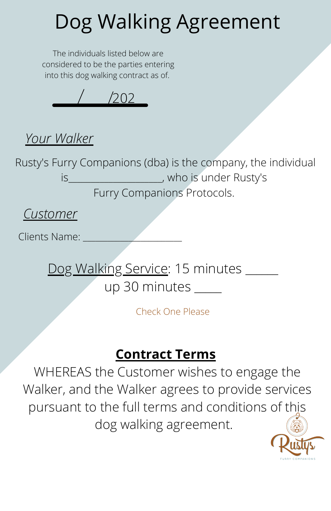# Dog Walking Agreement

The individuals listed below are considered to be the parties entering into this dog walking contract as of.



### *Your Walker*

Rusty's Furry Companions (dba) is the company, the individual is who is under Rusty's Furry Companions Protocols.

*Customer*

Clients Name<sup>.</sup>

Dog Walking Service: 15 minutes \_\_\_\_\_ up 30 minutes

Check One Please

### **Contract Terms**

WHEREAS the Customer wishes to engage the Walker, and the Walker agrees to provide services pursuant to the full terms and conditions of this dog walking agreement.

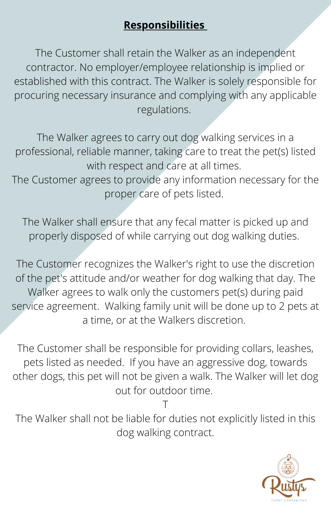#### **Responsibilities**

The Customer shall retain the Walker as an independent contractor. No employer/employee relationship is implied or established with this contract. The Walker is solely responsible for procuring necessary insurance and complying with any applicable regulations.

The Walker agrees to carry out dog walking services in a professional, reliable manner, taking care to treat the pet(s) listed with respect and care at all times.

The Customer agrees to provide any information necessary for the proper care of pets listed.

The Walker shall ensure that any fecal matter is picked up and properly disposed of while carrying out dog walking duties.

The Customer recognizes the Walker's right to use the discretion of the pet's attitude and/or weather for dog walking that day. The Walker agrees to walk only the customers pet(s) during paid service agreement. Walking family unit will be done up to 2 pets at a time, or at the Walkers discretion.

The Customer shall be responsible for providing collars, leashes, pets listed as needed. If you have an aggressive dog, towards other dogs, this pet will not be given a walk. The Walker will let dog out for outdoor time.

T The Walker shall not be liable for duties not explicitly listed in this dog walking contract.

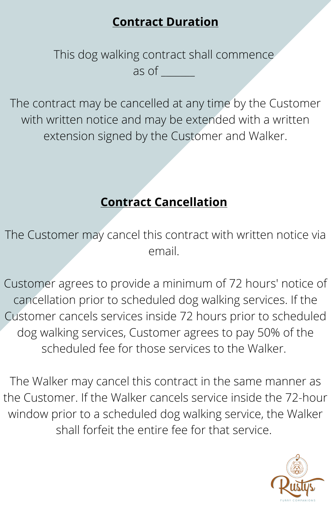#### **Contract Duration**

This dog walking contract shall commence as of  $\Box$ 

The contract may be cancelled at any time by the Customer with written notice and may be extended with a written extension signed by the Customer and Walker.

#### **Contract Cancellation**

The Customer may cancel this contract with written notice via email.

Customer agrees to provide a minimum of 72 hours' notice of cancellation prior to scheduled dog walking services. If the Customer cancels services inside 72 hours prior to scheduled dog walking services, Customer agrees to pay 50% of the scheduled fee for those services to the Walker.

The Walker may cancel this contract in the same manner as the Customer. If the Walker cancels service inside the 72-hour window prior to a scheduled dog walking service, the Walker shall forfeit the entire fee for that service.

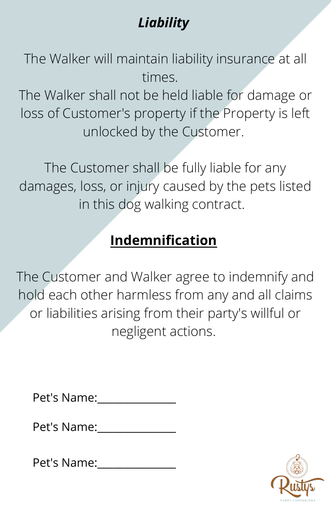# *Liability*

The Walker will maintain liability insurance at all times.

The Walker shall not be held liable for damage or loss of Customer's property if the Property is left unlocked by the Customer.

The Customer shall be fully liable for any damages, loss, or injury caused by the pets listed in this dog walking contract.

# **Indemnification**

The Customer and Walker agree to indemnify and hold each other harmless from any and all claims or liabilities arising from their party's willful or negligent actions.

Pet's Name:\_\_\_\_\_\_\_\_\_\_\_\_\_\_\_

Pet's Name:\_\_\_\_\_\_\_\_\_\_\_\_\_\_\_

Pet's Name:\_\_\_\_\_\_\_\_\_\_\_\_\_\_\_